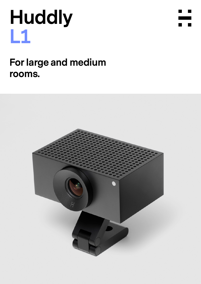# **Huddly L1**



## **For large and medium rooms.**

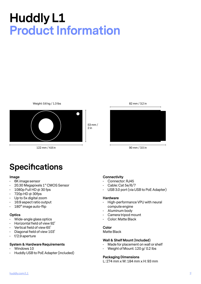## **Huddly L1 Product Information**



122 mm / 4.8 in

90 mm / 3.5 in

82 mm / 3.2 in

### **Specifications**

#### **Image**

- 6K image sensor
- 20.30 Megapixels 1" CMOS Sensor
- $\cdot$  1080p Full HD @ 30 fps
- $\cdot$  720p HD @ 30fps
- Up to 5x digital zoom
- 16:9 aspect ratio output
- 180° image auto-flip

#### **Optics**

- Wide-angle glass optics
- Horizontal field of view 92˚
- Vertical field of view 65˚
- Diagonal field of view 103˚
- f/2.9 aperture

#### **System & Hardware Requirements**

- Windows 10
- Huddly USB to PoE Adapter (included)

#### **Connectivity**

- Connector: RJ45
- Cable: Cat 5e/6/7
- USB 3.0 port (via USB to PoE Adapter)

#### **Hardware**

- High-performance VPU with neural compute engine
- Aluminum body
- Camera tripod mount
- Color: Matte Black

#### **Color**

Matte Black

#### **Wall & Shelf Mount (Included)**

- Made for placement on wall or shelf
- Weight of Mount: 120 g/ 0.2 Ibs

#### **Packaging Dimensions**

L: 274 mm x W: 184 mm x H: 93 mm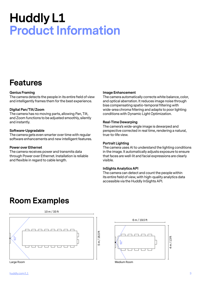## **Huddly L1 Product Information**

### **Features**

#### **Genius Framing**

The camera detects the people in its entire field of view and intelligently frames them for the best experience.

#### **Digital Pan/Tilt/Zoom**

The camera has no moving parts, allowing Pan, Tilt, and Zoom functions to be adjusted smoothly, silently and instantly.

#### **Software-Upgradable**

The camera gets even smarter over time with regular software enhancements and new intelligent features.

#### **Power over Ethernet**

The camera receives power and transmits data through Power over Ethernet. Installation is reliable and flexible in regard to cable length.

#### **Image Enhancement**

The camera automatically corrects white balance, color, and optical aberration. It reduces image noise through bias compensating spatio-temporal filtering with wide-area chroma filtering and adapts to poor lighting conditions with Dynamic Light Optimization.

#### **Real-Time Dewarping**

The camera's wide-angle image is dewarped and perspective corrected in real time, rendering a natural, true-to-life view.

#### **Portrait Lighting**

The camera uses AI to understand the lighting conditions in the image. It automatically adjusts exposure to ensure that faces are well-lit and facial expressions are clearly visible.

#### **InSights Analytics API**

The camera can detect and count the people within its entire field of view, with high-quality analytics data accessible via the Huddly InSights API.

### **Room Examples**



 $\neg$  $\neg$  $\Box$ r  $\overline{\phantom{a}}$  $\frac{4m}{13}$ ft 4 m / 13 ft

6 m / 19.5 ft

Medium Room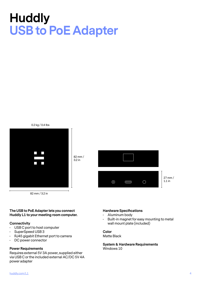## **Huddly USB to PoE Adapter**

0.2 kg / 0.4 Ibs



82 mm / 3.2 in

#### **The USB to PoE Adapter lets you connect Huddly L1 to your meeting room computer.**

#### **Connectivity**

- USB C port to host computer
- SuperSpeed USB 3
- RJ45 gigabit Ethernet port to camera
- DC power connector

#### **Power Requirements**

Requires external 5V 3A power, supplied either via USB C or the included external AC/DC 5V 4A power adapter

#### **Hardware Specifications**

 $\subset$ 

• Aluminum body

 $\odot$ 

• Built-in magnet for easy mounting to metal wall mount plate (included)

 $\bigcirc$ 

27 mm / 1.1 in

#### **Color** Matte Black

**System & Hardware Requirements** Windows 10